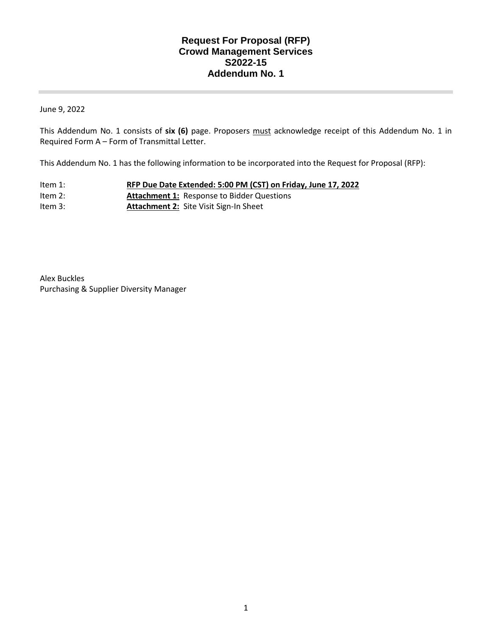## **Request For Proposal (RFP) Crowd Management Services S2022-15 Addendum No. 1**

June 9, 2022

This Addendum No. 1 consists of **six (6)** page. Proposers must acknowledge receipt of this Addendum No. 1 in Required Form A – Form of Transmittal Letter.

This Addendum No. 1 has the following information to be incorporated into the Request for Proposal (RFP):

- Item 1: **RFP Due Date Extended: 5:00 PM (CST) on Friday, June 17, 2022**  Item 2: **Attachment 1:** Response to Bidder Questions
- Item 3: **Attachment 2:** Site Visit Sign-In Sheet

Alex Buckles Purchasing & Supplier Diversity Manager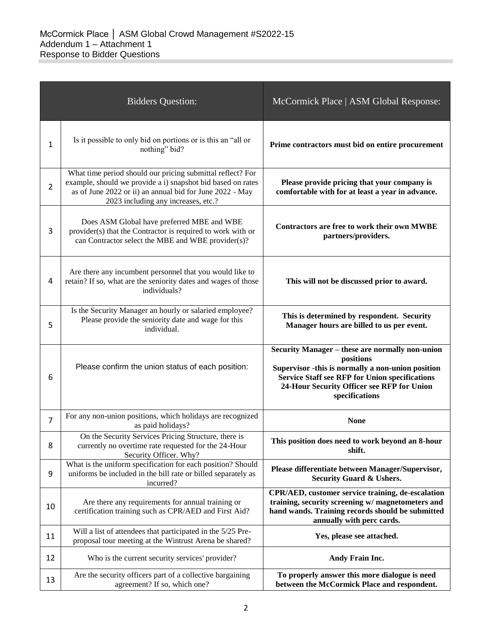|                | <b>Bidders Question:</b>                                                                                                                                                                                                     | McCormick Place   ASM Global Response:                                                                                                                                                                                                     |
|----------------|------------------------------------------------------------------------------------------------------------------------------------------------------------------------------------------------------------------------------|--------------------------------------------------------------------------------------------------------------------------------------------------------------------------------------------------------------------------------------------|
| 1              | Is it possible to only bid on portions or is this an "all or<br>nothing" bid?                                                                                                                                                | Prime contractors must bid on entire procurement                                                                                                                                                                                           |
| $\overline{2}$ | What time period should our pricing submittal reflect? For<br>example, should we provide a i) snapshot bid based on rates<br>as of June 2022 or ii) an annual bid for June 2022 - May<br>2023 including any increases, etc.? | Please provide pricing that your company is<br>comfortable with for at least a year in advance.                                                                                                                                            |
| 3              | Does ASM Global have preferred MBE and WBE<br>provider(s) that the Contractor is required to work with or<br>can Contractor select the MBE and WBE provider(s)?                                                              | Contractors are free to work their own MWBE<br>partners/providers.                                                                                                                                                                         |
| 4              | Are there any incumbent personnel that you would like to<br>retain? If so, what are the seniority dates and wages of those<br>individuals?                                                                                   | This will not be discussed prior to award.                                                                                                                                                                                                 |
| 5              | Is the Security Manager an hourly or salaried employee?<br>Please provide the seniority date and wage for this<br>individual.                                                                                                | This is determined by respondent. Security<br>Manager hours are billed to us per event.                                                                                                                                                    |
| 6              | Please confirm the union status of each position:                                                                                                                                                                            | Security Manager - these are normally non-union<br>positions<br>Supervisor -this is normally a non-union position<br><b>Service Staff see RFP for Union specifications</b><br>24-Hour Security Officer see RFP for Union<br>specifications |
| $\overline{7}$ | For any non-union positions, which holidays are recognized<br>as paid holidays?                                                                                                                                              | <b>None</b>                                                                                                                                                                                                                                |
| 8              | On the Security Services Pricing Structure, there is<br>currently no overtime rate requested for the 24-Hour<br>Security Officer. Why?                                                                                       | This position does need to work beyond an 8-hour<br>shift.                                                                                                                                                                                 |
| 9              | What is the uniform specification for each position? Should<br>uniforms be included in the bill rate or billed separately as<br>incurred?                                                                                    | Please differentiate between Manager/Supervisor,<br><b>Security Guard &amp; Ushers.</b>                                                                                                                                                    |
| 10             | Are there any requirements for annual training or<br>certification training such as CPR/AED and First Aid?                                                                                                                   | CPR/AED, customer service training, de-escalation<br>training, security screening w/ magnetometers and<br>hand wands. Training records should be submitted<br>annually with perc cards.                                                    |
| 11             | Will a list of attendees that participated in the 5/25 Pre-<br>proposal tour meeting at the Wintrust Arena be shared?                                                                                                        | Yes, please see attached.                                                                                                                                                                                                                  |
| 12             | Who is the current security services' provider?                                                                                                                                                                              | Andy Frain Inc.                                                                                                                                                                                                                            |
| 13             | Are the security officers part of a collective bargaining<br>agreement? If so, which one?                                                                                                                                    | To properly answer this more dialogue is need<br>between the McCormick Place and respondent.                                                                                                                                               |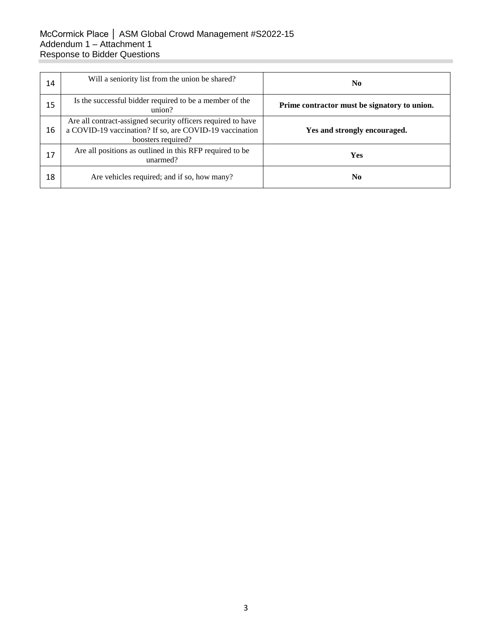## McCormick Place │ ASM Global Crowd Management #S2022-15 Addendum 1 – Attachment 1 Response to Bidder Questions

| 14 | Will a seniority list from the union be shared?                                                                                               | N <sub>0</sub>                               |
|----|-----------------------------------------------------------------------------------------------------------------------------------------------|----------------------------------------------|
| 15 | Is the successful bidder required to be a member of the<br>union?                                                                             | Prime contractor must be signatory to union. |
| 16 | Are all contract-assigned security officers required to have<br>a COVID-19 vaccination? If so, are COVID-19 vaccination<br>boosters required? | Yes and strongly encouraged.                 |
| 17 | Are all positions as outlined in this RFP required to be<br>unarmed?                                                                          | Yes                                          |
| 18 | Are vehicles required; and if so, how many?                                                                                                   | N <sub>0</sub>                               |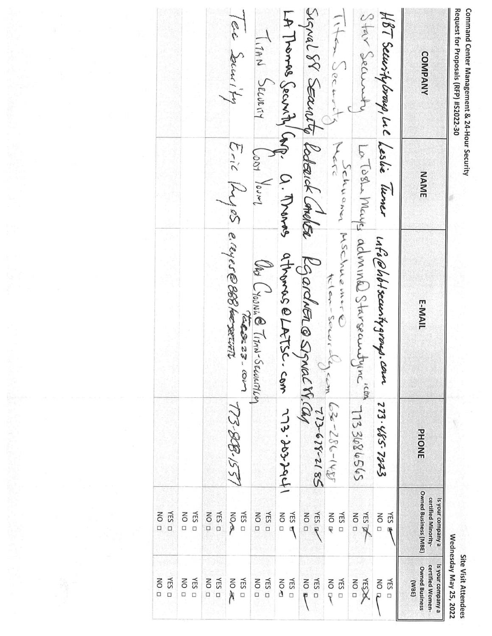| canna         |              |
|---------------|--------------|
| <b>IPCOCO</b> | a<br>Til     |
|               | $\mathbf{r}$ |
| ć<br>ĵ        | ç<br>4-Hot   |
|               | č<br>ŀ       |
|               |              |

Site Visit Attendees<br>Wednesdav Mav 25, 2022

|                                                    |                                                            |                                                              |                    |                                                                         | Wednesday May 25, 2022                                                  |
|----------------------------------------------------|------------------------------------------------------------|--------------------------------------------------------------|--------------------|-------------------------------------------------------------------------|-------------------------------------------------------------------------|
| <b>COMPANY</b>                                     | NAME                                                       | <b>E-MAIL</b>                                                | PHONE              | <b>Owned Business (MBE)</b><br>certified Minority-<br>Is your company a | Is your company a<br>certified Women-<br><b>Owned Business</b><br>(MBE) |
| HBT Securitybroup, Luc Leslie Turner               |                                                            | who @hot security group. com                                 | 273-485-7223       | <b>YES</b><br>D ON                                                      | NO R<br>NES □                                                           |
| Star Securit                                       |                                                            | Le Toshe Maye adminal Starseauthine "con                     | 595989861          | ALS SEA<br>NO <sub>D</sub>                                              | NO <sub>D</sub><br><b>KESPK</b>                                         |
| This decision                                      |                                                            | Schuann MSChuemere<br>Klan-Sowik                             | $52 - 286 - 188$   | NO <sub>U</sub><br>NES □                                                | NES □<br>NO Dr                                                          |
|                                                    |                                                            | Signal SP SEautito Roberick Comoter Rigardier @ Signal M.Cap | 273-678-2185       | <b>VES W</b><br>$\overline{a}$                                          | YES D<br><b>NO</b>                                                      |
| LA Tromas Security CAP. O. Trands athonos @ LATSC. |                                                            |                                                              | 1 pbl.col. ELL was | YES E<br>NO <sub>D</sub>                                                | NES □<br>NO AD                                                          |
| TIAN SECURTY                                       | $\int_{\Omega\cap\mathcal{A}}\int_{\Omega\cup\mathcal{M}}$ | Oht Crosnic Tim-Secountier                                   |                    | YES □<br>NO <sub>D</sub>                                                | TES D<br>NO <sub>D</sub>                                                |
| Tee Socurity                                       |                                                            | Eric Kyyes e.ruer@888 hersecute<br>1000000<br><b>Girl</b>    | 157.88-57          | NES □<br><b>NOW</b>                                                     | NES □<br>NO AC                                                          |
|                                                    |                                                            |                                                              |                    | NES □<br>$\overline{a}$                                                 | NES □<br>NO <sub>D</sub>                                                |
|                                                    |                                                            |                                                              |                    | NES □<br>NO <sub>D</sub>                                                | YES O<br>NO <sub>D</sub>                                                |
|                                                    |                                                            |                                                              |                    | YES D<br>$D$ ON                                                         | NES □<br><b>NO</b><br>$\Box$                                            |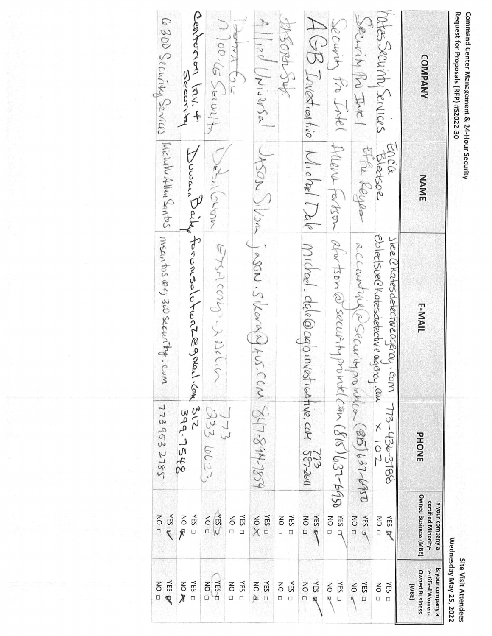| Request for Proposals (RFP) #S2022-30                                                                                                                                                                                                                                                                                 |                  |                                                                                       |                 |                                                                         | Wednesday May 25, 2022<br><b>URBIT AISE WIFEINGER</b>                   |
|-----------------------------------------------------------------------------------------------------------------------------------------------------------------------------------------------------------------------------------------------------------------------------------------------------------------------|------------------|---------------------------------------------------------------------------------------|-----------------|-------------------------------------------------------------------------|-------------------------------------------------------------------------|
| COMPANY                                                                                                                                                                                                                                                                                                               | NAME             | E-MAIL                                                                                | <b>PHONE</b>    | <b>Owned Business (MBE)</b><br>certified Minority-<br>Is your company a | Is your company a<br>certified Women-<br><b>Owned Business</b><br>(MBE) |
| Mes Security Services                                                                                                                                                                                                                                                                                                 | Encia<br>Bledsoe | ebledsved Kotesdetechve agency. Com<br>Jiee @ Katesdetective agenay, com 773-436-3786 | $201 \times$    | YES by<br>NO <sub>D</sub>                                               | D ON<br>NES □                                                           |
| Security Pri Intel                                                                                                                                                                                                                                                                                                    | Effe Reyes       | accountria escuritamentes (85) 637-6950                                               |                 | YES E<br>$\overline{a}$                                                 | YES D<br>NO P                                                           |
|                                                                                                                                                                                                                                                                                                                       |                  | Security the Internet fortsom alw tsom @ security provided and (818) 631-6950         |                 | YES LT<br>NO <sub>D</sub>                                               | NES □<br>NO <sub>E</sub>                                                |
|                                                                                                                                                                                                                                                                                                                       |                  | AGB Investinativo Michael Dalo Michael. deli @agbinvesticative.com 3872641            |                 | <b>NES R</b><br>DOD                                                     | YES E<br>$\overline{a}$                                                 |
| sysoph Sub                                                                                                                                                                                                                                                                                                            |                  |                                                                                       |                 | YES O<br>DO                                                             | YES □<br>NO <sub>D</sub>                                                |
| $\left. \left. \left. \left. \left. \left. \left. \left( \begin{smallmatrix} 1 \\ 1/2 & 0 \end{smallmatrix} \right) \right  \left. \left. \left( \begin{smallmatrix} 1 \\ 1/2 & 0 \end{smallmatrix} \right) \right  \left. \left( \begin{smallmatrix} 1 \\ 1/2 & 0 \end{smallmatrix} \right) \right  \right. \right)$ |                  | West Silsed inson. Siller of Aus. Com S47-844-7859                                    |                 | YES D<br><b>AC DN</b>                                                   | YES D<br><b>NO</b>                                                      |
| Aloug Security                                                                                                                                                                                                                                                                                                        |                  |                                                                                       | $\frac{1}{2}$   | NES □<br>NO <sub>D</sub>                                                | $\overline{a}$<br>YES <sub>O</sub>                                      |
|                                                                                                                                                                                                                                                                                                                       |                  | Debullorenn ETSACOUD-JADEL                                                            | 333 60:27       | $\sqrt{ES}$<br>NO <sub>D</sub>                                          | <b>YES-p</b><br>$\overline{a}$                                          |
| Centurion Inv. +                                                                                                                                                                                                                                                                                                      |                  | Duran Baile forousolutent@gnail.com                                                   | SIZ<br>399.7548 | NES □<br>NO<br>不                                                        | NES □<br><b>NO XX</b>                                                   |
|                                                                                                                                                                                                                                                                                                                       |                  | G300 Security Services Michelle Allen Sentrs Msantus @c, 300 security. Cum            | 7739532785      | <b>VES N</b><br>D ON                                                    | <b>VES W</b><br>$\overline{a}$                                          |

Command Center Management & 24-Hour Security

Site Visit Attendees